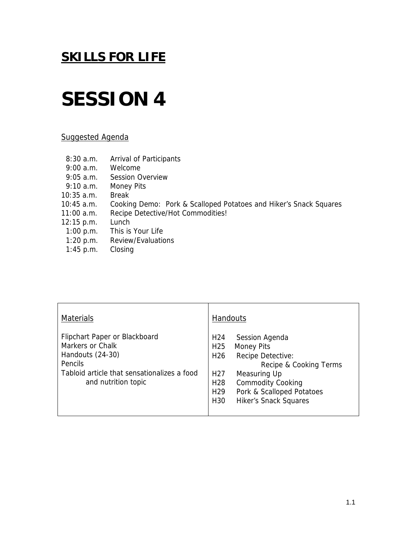## **SESSION 4**

### Suggested Agenda

- 8:30 a.m. Arrival of Participants
- 9:00 a.m. Welcome
- 9:05 a.m. Session Overview
- 9:10 a.m. Money Pits
- 10:35 a.m. Break
- 10:45 a.m. Cooking Demo: Pork & Scalloped Potatoes and Hiker's Snack Squares
- 11:00 a.m. Recipe Detective/Hot Commodities!
- 12:15 p.m. Lunch<br>1:00 p.m. This is
	- This is Your Life
- 1:20 p.m. Review/Evaluations
- 1:45 p.m. Closing

| <b>Materials</b>                                                                                                                                              | Handouts                                                                                                                                                                                                                                                                                                                         |
|---------------------------------------------------------------------------------------------------------------------------------------------------------------|----------------------------------------------------------------------------------------------------------------------------------------------------------------------------------------------------------------------------------------------------------------------------------------------------------------------------------|
| Flipchart Paper or Blackboard<br>Markers or Chalk<br>Handouts (24-30)<br><b>Pencils</b><br>Tabloid article that sensationalizes a food<br>and nutrition topic | H <sub>24</sub><br>Session Agenda<br>H <sub>25</sub><br><b>Money Pits</b><br>H <sub>26</sub><br>Recipe Detective:<br>Recipe & Cooking Terms<br>H <sub>27</sub><br>Measuring Up<br><b>Commodity Cooking</b><br>H <sub>28</sub><br>Pork & Scalloped Potatoes<br>H <sub>29</sub><br><b>Hiker's Snack Squares</b><br>H <sub>30</sub> |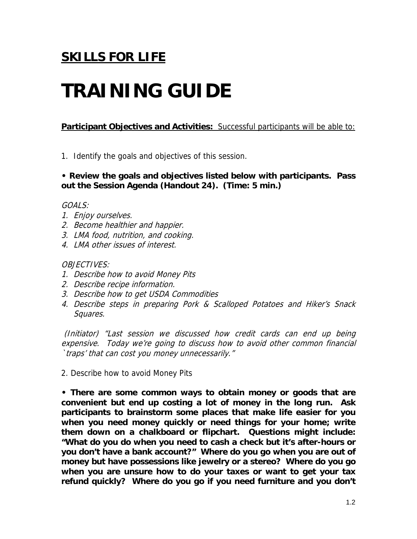# **TRAINING GUIDE**

## **Participant Objectives and Activities:** Successful participants will be able to:

1. Identify the goals and objectives of this session.

## **• Review the goals and objectives listed below with participants. Pass out the Session Agenda (Handout 24). (Time: 5 min.)**

## GOALS:

- 1. Enjoy ourselves.
- 2. Become healthier and happier.
- 3. LMA food, nutrition, and cooking.
- 4. LMA other issues of interest.

## OBJECTIVES:

- 1. Describe how to avoid Money Pits
- 2. Describe recipe information.
- 3. Describe how to get USDA Commodities
- 4. Describe steps in preparing Pork & Scalloped Potatoes and Hiker's Snack Squares.

 (Initiator) "Last session we discussed how credit cards can end up being expensive. Today we're going to discuss how to avoid other common financial `traps' that can cost you money unnecessarily."

2. Describe how to avoid Money Pits

**• There are some common ways to obtain money or goods that are convenient but end up costing a lot of money in the long run. Ask participants to brainstorm some places that make life easier for you when you need money quickly or need things for your home; write them down on a chalkboard or flipchart. Questions might include: "What do you do when you need to cash a check but it's after-hours or you don't have a bank account?" Where do you go when you are out of money but have possessions like jewelry or a stereo? Where do you go when you are unsure how to do your taxes or want to get your tax refund quickly? Where do you go if you need furniture and you don't**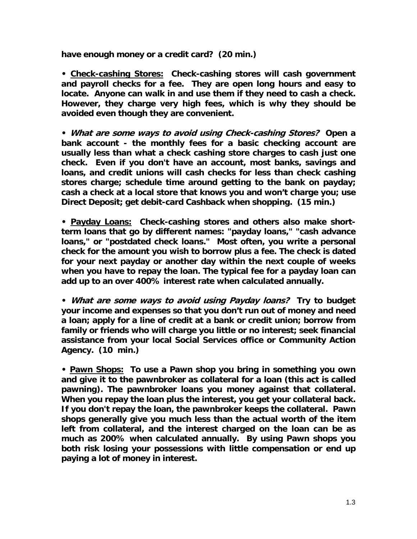**have enough money or a credit card? (20 min.)** 

**• Check-cashing Stores: Check-cashing stores will cash government and payroll checks for a fee. They are open long hours and easy to locate. Anyone can walk in and use them if they need to cash a check. However, they charge very high fees, which is why they should be avoided even though they are convenient.** 

**• What are some ways to avoid using Check-cashing Stores? Open a bank account - the monthly fees for a basic checking account are usually less than what a check cashing store charges to cash just one check. Even if you don't have an account, most banks, savings and loans, and credit unions will cash checks for less than check cashing stores charge; schedule time around getting to the bank on payday; cash a check at a local store that knows you and won't charge you; use Direct Deposit; get debit-card Cashback when shopping. (15 min.)** 

**• Payday Loans: Check-cashing stores and others also make shortterm loans that go by different names: "payday loans," "cash advance loans," or "postdated check loans." Most often, you write a personal check for the amount you wish to borrow plus a fee. The check is dated for your next payday or another day within the next couple of weeks when you have to repay the loan. The typical fee for a payday loan can add up to an over 400% interest rate when calculated annually.** 

**• What are some ways to avoid using Payday loans? Try to budget your income and expenses so that you don't run out of money and need a loan; apply for a line of credit at a bank or credit union; borrow from family or friends who will charge you little or no interest; seek financial assistance from your local Social Services office or Community Action Agency. (10 min.)** 

**• Pawn Shops: To use a Pawn shop you bring in something you own and give it to the pawnbroker as collateral for a loan (this act is called pawning). The pawnbroker loans you money against that collateral. When you repay the loan plus the interest, you get your collateral back. If you don't repay the loan, the pawnbroker keeps the collateral. Pawn shops generally give you much less than the actual worth of the item left from collateral, and the interest charged on the loan can be as much as 200% when calculated annually. By using Pawn shops you both risk losing your possessions with little compensation or end up paying a lot of money in interest.**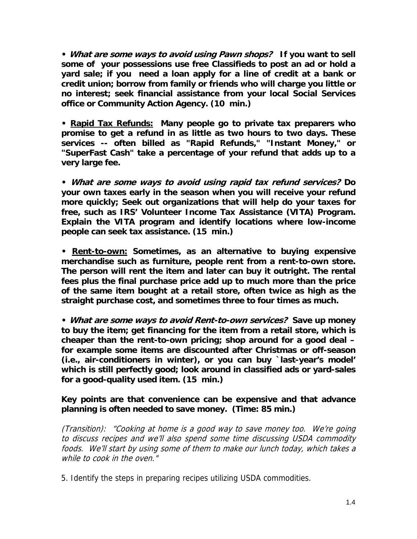**• What are some ways to avoid using Pawn shops? If you want to sell some of your possessions use free Classifieds to post an ad or hold a yard sale; if you need a loan apply for a line of credit at a bank or credit union; borrow from family or friends who will charge you little or no interest; seek financial assistance from your local Social Services office or Community Action Agency. (10 min.)** 

**• Rapid Tax Refunds: Many people go to private tax preparers who promise to get a refund in as little as two hours to two days. These services -- often billed as "Rapid Refunds," "Instant Money," or "SuperFast Cash" take a percentage of your refund that adds up to a very large fee.** 

**• What are some ways to avoid using rapid tax refund services? Do your own taxes early in the season when you will receive your refund more quickly; Seek out organizations that will help do your taxes for free, such as IRS' Volunteer Income Tax Assistance (VITA) Program. Explain the VITA program and identify locations where low-income people can seek tax assistance. (15 min.)** 

**• Rent-to-own: Sometimes, as an alternative to buying expensive merchandise such as furniture, people rent from a rent-to-own store. The person will rent the item and later can buy it outright. The rental fees plus the final purchase price add up to much more than the price of the same item bought at a retail store, often twice as high as the straight purchase cost, and sometimes three to four times as much.** 

**• What are some ways to avoid Rent-to-own services? Save up money to buy the item; get financing for the item from a retail store, which is cheaper than the rent-to-own pricing; shop around for a good deal – for example some items are discounted after Christmas or off-season (i.e., air-conditioners in winter), or you can buy `last-year's model' which is still perfectly good; look around in classified ads or yard-sales for a good-quality used item. (15 min.)** 

## **Key points are that convenience can be expensive and that advance planning is often needed to save money. (Time: 85 min.)**

(Transition): "Cooking at home is a good way to save money too. We're going to discuss recipes and we'll also spend some time discussing USDA commodity foods. We'll start by using some of them to make our lunch today, which takes a while to cook in the oven."

5. Identify the steps in preparing recipes utilizing USDA commodities.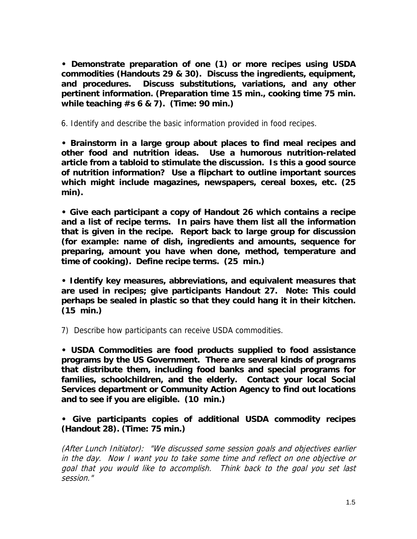**• Demonstrate preparation of one (1) or more recipes using USDA commodities (Handouts 29 & 30). Discuss the ingredients, equipment, and procedures. Discuss substitutions, variations, and any other pertinent information. (Preparation time 15 min., cooking time 75 min. while teaching #s 6 & 7). (Time: 90 min.)** 

6. Identify and describe the basic information provided in food recipes.

**• Brainstorm in a large group about places to find meal recipes and other food and nutrition ideas. Use a humorous nutrition-related article from a tabloid to stimulate the discussion. Is this a good source of nutrition information? Use a flipchart to outline important sources which might include magazines, newspapers, cereal boxes, etc. (25 min).** 

**• Give each participant a copy of Handout 26 which contains a recipe and a list of recipe terms. In pairs have them list all the information that is given in the recipe. Report back to large group for discussion (for example: name of dish, ingredients and amounts, sequence for preparing, amount you have when done, method, temperature and time of cooking). Define recipe terms. (25 min.)** 

**• Identify key measures, abbreviations, and equivalent measures that are used in recipes; give participants Handout 27. Note: This could perhaps be sealed in plastic so that they could hang it in their kitchen. (15 min.)** 

7) Describe how participants can receive USDA commodities.

**• USDA Commodities are food products supplied to food assistance programs by the US Government. There are several kinds of programs that distribute them, including food banks and special programs for families, schoolchildren, and the elderly. Contact your local Social Services department or Community Action Agency to find out locations and to see if you are eligible. (10 min.)** 

**• Give participants copies of additional USDA commodity recipes (Handout 28). (Time: 75 min.)** 

(After Lunch Initiator): "We discussed some session goals and objectives earlier in the day. Now I want you to take some time and reflect on one objective or goal that you would like to accomplish. Think back to the goal you set last session."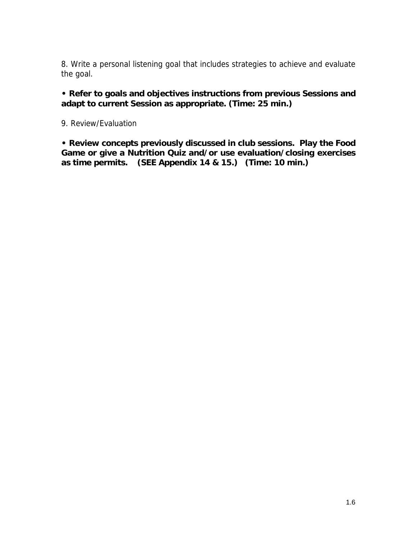8. Write a personal listening goal that includes strategies to achieve and evaluate the goal.

**• Refer to goals and objectives instructions from previous Sessions and adapt to current Session as appropriate. (Time: 25 min.)** 

9. Review/Evaluation

**• Review concepts previously discussed in club sessions. Play the Food Game or give a Nutrition Quiz and/or use evaluation/closing exercises as time permits. (SEE Appendix 14 & 15.) (Time: 10 min.)**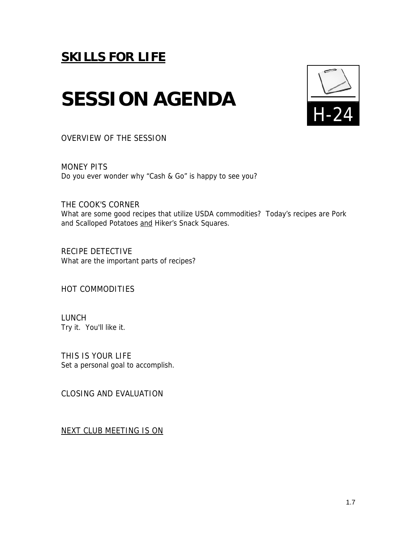# **SESSION AGENDA**



OVERVIEW OF THE SESSION

MONEY PITS Do you ever wonder why "Cash & Go" is happy to see you?

THE COOK'S CORNER What are some good recipes that utilize USDA commodities? Today's recipes are Pork and Scalloped Potatoes and Hiker's Snack Squares.

RECIPE DETECTIVE What are the important parts of recipes?

HOT COMMODITIES

LUNCH Try it. You'll like it.

THIS IS YOUR LIFE Set a personal goal to accomplish.

CLOSING AND EVALUATION

NEXT CLUB MEETING IS ON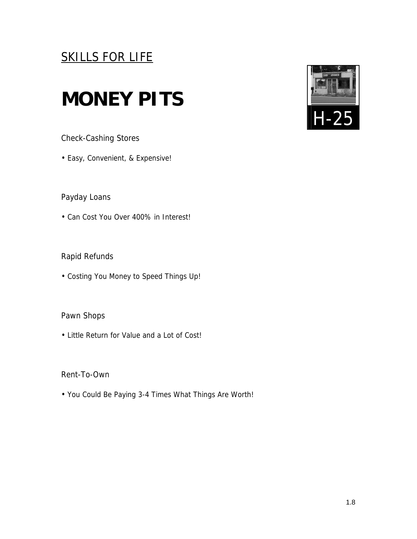## **MONEY PITS**

Check-Cashing Stores

• Easy, Convenient, & Expensive!

Payday Loans

• Can Cost You Over 400% in Interest!

Rapid Refunds

• Costing You Money to Speed Things Up!

## Pawn Shops

• Little Return for Value and a Lot of Cost!

Rent-To-Own

• You Could Be Paying 3-4 Times What Things Are Worth!

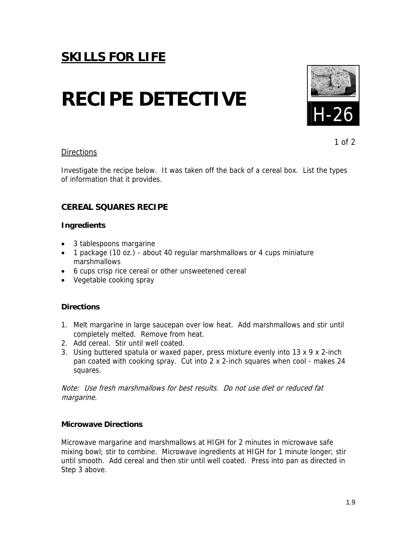# **RECIPE DETECTIVE**



1 of 2

### **Directions**

Investigate the recipe below. It was taken off the back of a cereal box. List the types of information that it provides.

## **CEREAL SQUARES RECIPE**

#### **Ingredients**

- 3 tablespoons margarine
- 1 package (10 oz.) about 40 regular marshmallows or 4 cups miniature marshmallows
- 6 cups crisp rice cereal or other unsweetened cereal
- Vegetable cooking spray

#### **Directions**

- 1. Melt margarine in large saucepan over low heat. Add marshmallows and stir until completely melted. Remove from heat.
- 2. Add cereal. Stir until well coated.
- 3. Using buttered spatula or waxed paper, press mixture evenly into 13 x 9 x 2-inch pan coated with cooking spray. Cut into 2 x 2-inch squares when cool - makes 24 squares.

Note: Use fresh marshmallows for best results. Do not use diet or reduced fat margarine.

#### **Microwave Directions**

Microwave margarine and marshmallows at HIGH for 2 minutes in microwave safe mixing bowl; stir to combine. Microwave ingredients at HIGH for 1 minute longer; stir until smooth. Add cereal and then stir until well coated. Press into pan as directed in Step 3 above.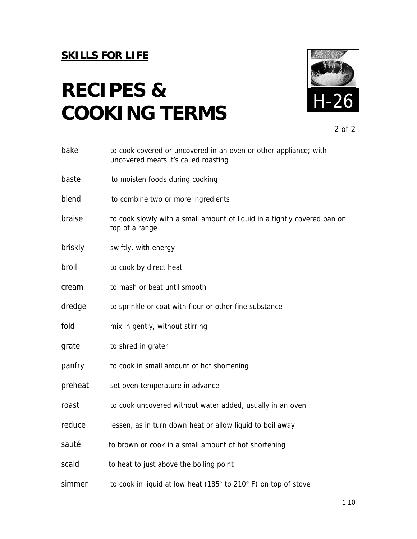# H-26 **RECIPES & COOKING TERMS**



2 of 2

| bake    | to cook covered or uncovered in an oven or other appliance; with<br>uncovered meats it's called roasting |
|---------|----------------------------------------------------------------------------------------------------------|
| baste   | to moisten foods during cooking                                                                          |
| blend   | to combine two or more ingredients                                                                       |
| braise  | to cook slowly with a small amount of liquid in a tightly covered pan on<br>top of a range               |
| briskly | swiftly, with energy                                                                                     |
| broil   | to cook by direct heat                                                                                   |
| cream   | to mash or beat until smooth                                                                             |
| dredge  | to sprinkle or coat with flour or other fine substance                                                   |
| fold    | mix in gently, without stirring                                                                          |
| grate   | to shred in grater                                                                                       |
| panfry  | to cook in small amount of hot shortening                                                                |
| preheat | set oven temperature in advance                                                                          |
| roast   | to cook uncovered without water added, usually in an oven                                                |
| reduce  | lessen, as in turn down heat or allow liquid to boil away                                                |
| sauté   | to brown or cook in a small amount of hot shortening                                                     |
| scald   | to heat to just above the boiling point                                                                  |
| simmer  | to cook in liquid at low heat (185° to 210° F) on top of stove                                           |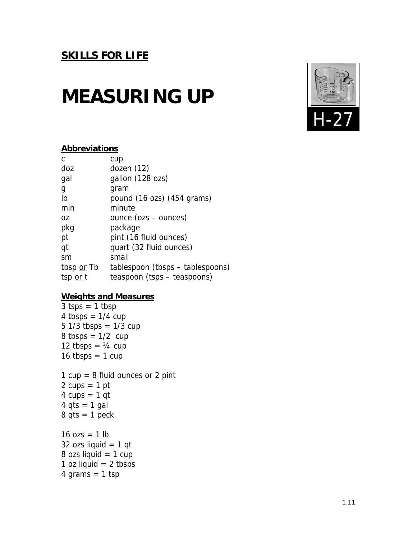## **MEASURING UP**



## **Abbreviations**

| tablespoon (tbsps – tablespoons) |
|----------------------------------|
|                                  |
|                                  |

### **Weights and Measures**

 $3 tsps = 1 tbsp$ 4 tbsps =  $1/4$  cup  $5 \frac{1}{3}$  tbsps =  $\frac{1}{3}$  cup  $8$  tbsps =  $1/2$  cup 12 tbsps =  $\frac{3}{4}$  cup 16 tbsps =  $1$  cup 1  $cup = 8$  fluid ounces or 2 pint  $2 \text{ cups} = 1 \text{ pt}$  $4 \text{ cups} = 1 \text{ qt}$  $4$  qts = 1 gal  $8$  qts = 1 peck  $16 \text{ ozs} = 1 \text{ lb}$ 32 ozs liquid  $= 1$  qt  $8$  ozs liquid = 1 cup 1 oz liquid  $= 2$  tbsps  $4$  grams = 1 tsp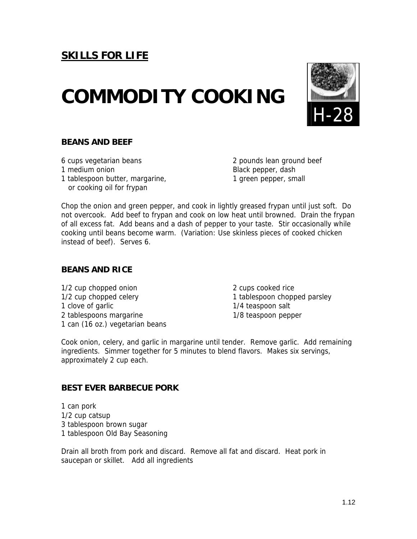## **COMMODITY COOKING**



### **BEANS AND BEEF**

- 
- 1 tablespoon butter, margarine, 1 green pepper, small or cooking oil for frypan

6 cups vegetarian beans 2 pounds lean ground beef 1 medium onion **Black pepper**, dash

Chop the onion and green pepper, and cook in lightly greased frypan until just soft. Do not overcook. Add beef to frypan and cook on low heat until browned. Drain the frypan of all excess fat. Add beans and a dash of pepper to your taste. Stir occasionally while cooking until beans become warm. (Variation: Use skinless pieces of cooked chicken instead of beef). Serves 6.

## **BEANS AND RICE**

1/2 cup chopped onion 2 cups cooked rice 1/2 cup chopped celery 1 tablespoon chopped parsley 1 clove of garlic 1/4 teaspoon salt 2 tablespoons margarine 1/8 teaspoon pepper 1 can (16 oz.) vegetarian beans

Cook onion, celery, and garlic in margarine until tender. Remove garlic. Add remaining ingredients. Simmer together for 5 minutes to blend flavors. Makes six servings, approximately 2 cup each.

## **BEST EVER BARBECUE PORK**

1 can pork 1/2 cup catsup 3 tablespoon brown sugar 1 tablespoon Old Bay Seasoning

Drain all broth from pork and discard. Remove all fat and discard. Heat pork in saucepan or skillet. Add all ingredients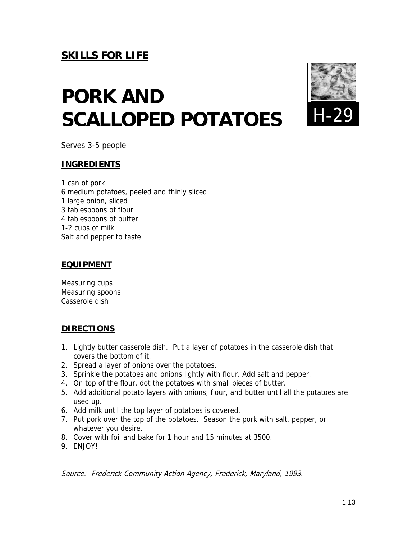# **PORK AND SCALLOPED POTATOES**



Serves 3-5 people

## **INGREDIENTS**

1 can of pork 6 medium potatoes, peeled and thinly sliced 1 large onion, sliced 3 tablespoons of flour 4 tablespoons of butter 1-2 cups of milk Salt and pepper to taste

## **EQUIPMENT**

Measuring cups Measuring spoons Casserole dish

## **DIRECTIONS**

- 1. Lightly butter casserole dish. Put a layer of potatoes in the casserole dish that covers the bottom of it.
- 2. Spread a layer of onions over the potatoes.
- 3. Sprinkle the potatoes and onions lightly with flour. Add salt and pepper.
- 4. On top of the flour, dot the potatoes with small pieces of butter.
- 5. Add additional potato layers with onions, flour, and butter until all the potatoes are used up.
- 6. Add milk until the top layer of potatoes is covered.
- 7. Put pork over the top of the potatoes. Season the pork with salt, pepper, or whatever you desire.
- 8. Cover with foil and bake for 1 hour and 15 minutes at 3500.
- 9. ENJOY!

Source: Frederick Community Action Agency, Frederick, Maryland, 1993.